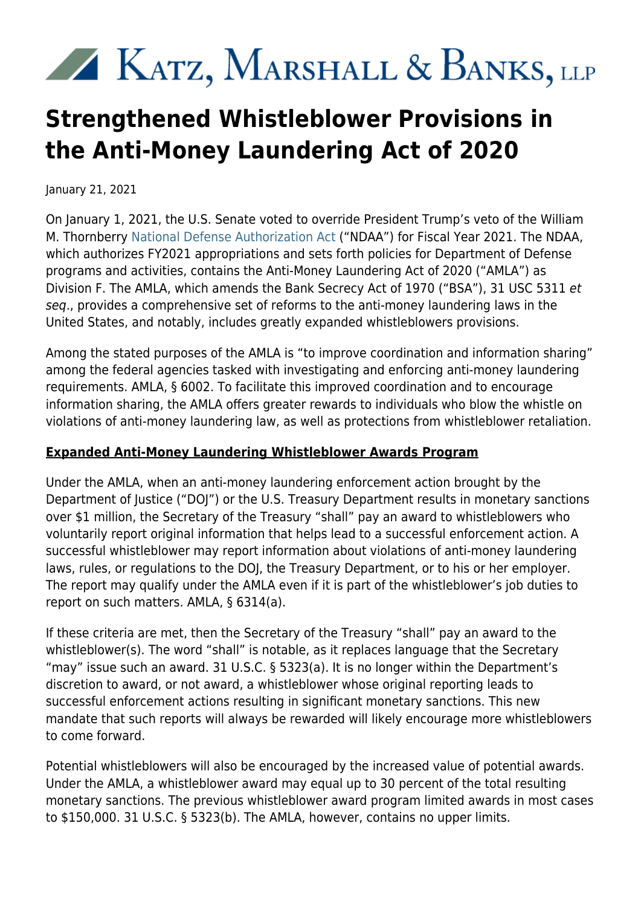# XX KATZ, MARSHALL & BANKS, LLP

## **Strengthened Whistleblower Provisions in the Anti-Money Laundering Act of 2020**

January 21, 2021

On January 1, 2021, the U.S. Senate voted to override President Trump's veto of the William M. Thornberry [National Defense Authorization Act](https://www.congress.gov/bill/116th-congress/house-bill/6395) ("NDAA") for Fiscal Year 2021. The NDAA, which authorizes FY2021 appropriations and sets forth policies for Department of Defense programs and activities, contains the Anti-Money Laundering Act of 2020 ("AMLA") as Division F. The AMLA, which amends the Bank Secrecy Act of 1970 ("BSA"), 31 USC 5311 et seq., provides a comprehensive set of reforms to the anti-money laundering laws in the United States, and notably, includes greatly expanded whistleblowers provisions.

Among the stated purposes of the AMLA is "to improve coordination and information sharing" among the federal agencies tasked with investigating and enforcing anti-money laundering requirements. AMLA, § 6002. To facilitate this improved coordination and to encourage information sharing, the AMLA offers greater rewards to individuals who blow the whistle on violations of anti-money laundering law, as well as protections from whistleblower retaliation.

#### **Expanded Anti-Money Laundering Whistleblower Awards Program**

Under the AMLA, when an anti-money laundering enforcement action brought by the Department of Justice ("DOJ") or the U.S. Treasury Department results in monetary sanctions over \$1 million, the Secretary of the Treasury "shall" pay an award to whistleblowers who voluntarily report original information that helps lead to a successful enforcement action. A successful whistleblower may report information about violations of anti-money laundering laws, rules, or regulations to the DOJ, the Treasury Department, or to his or her employer. The report may qualify under the AMLA even if it is part of the whistleblower's job duties to report on such matters. AMLA, § 6314(a).

If these criteria are met, then the Secretary of the Treasury "shall" pay an award to the whistleblower(s). The word "shall" is notable, as it replaces language that the Secretary "may" issue such an award. 31 U.S.C. § 5323(a). It is no longer within the Department's discretion to award, or not award, a whistleblower whose original reporting leads to successful enforcement actions resulting in significant monetary sanctions. This new mandate that such reports will always be rewarded will likely encourage more whistleblowers to come forward.

Potential whistleblowers will also be encouraged by the increased value of potential awards. Under the AMLA, a whistleblower award may equal up to 30 percent of the total resulting monetary sanctions. The previous whistleblower award program limited awards in most cases to \$150,000. 31 U.S.C. § 5323(b). The AMLA, however, contains no upper limits.